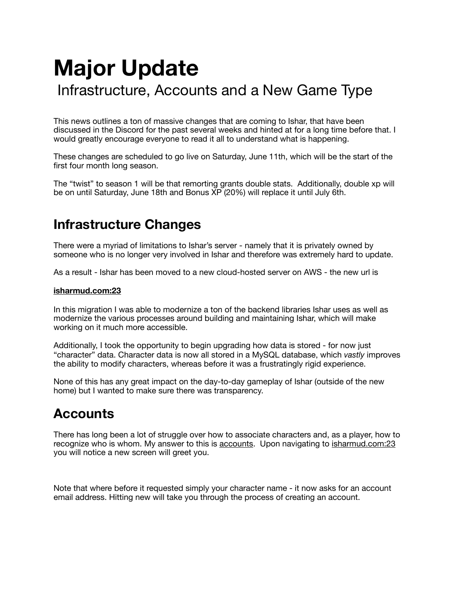# **Major Update**

# Infrastructure, Accounts and a New Game Type

This news outlines a ton of massive changes that are coming to Ishar, that have been discussed in the Discord for the past several weeks and hinted at for a long time before that. I would greatly encourage everyone to read it all to understand what is happening.

These changes are scheduled to go live on Saturday, June 11th, which will be the start of the first four month long season.

The "twist" to season 1 will be that remorting grants double stats. Additionally, double xp will be on until Saturday, June 18th and Bonus XP (20%) will replace it until July 6th.

## **Infrastructure Changes**

There were a myriad of limitations to Ishar's server - namely that it is privately owned by someone who is no longer very involved in Ishar and therefore was extremely hard to update.

As a result - Ishar has been moved to a new cloud-hosted server on AWS - the new url is

#### **[isharmud.com:23](http://isharmud.com:23)**

In this migration I was able to modernize a ton of the backend libraries Ishar uses as well as modernize the various processes around building and maintaining Ishar, which will make working on it much more accessible.

Additionally, I took the opportunity to begin upgrading how data is stored - for now just "character" data. Character data is now all stored in a MySQL database, which *vastly* improves the ability to modify characters, whereas before it was a frustratingly rigid experience.

None of this has any great impact on the day-to-day gameplay of Ishar (outside of the new home) but I wanted to make sure there was transparency.

# **Accounts**

There has long been a lot of struggle over how to associate characters and, as a player, how to recognize who is whom. My answer to this is accounts. Upon navigating to [isharmud.com:23](http://isharmud.com:23) you will notice a new screen will greet you.

Note that where before it requested simply your character name - it now asks for an account email address. Hitting new will take you through the process of creating an account.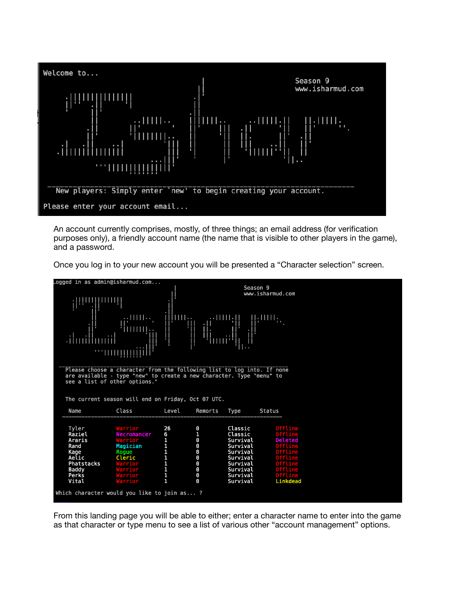

An account currently comprises, mostly, of three things; an email address (for verification purposes only), a friendly account name (the name that is visible to other players in the game), and a password.

Once you log in to your new account you will be presented a "Character selection" screen.

| ogged in as admin@isharmud.com                                                                                                                                                                                                        |                                                                                                                     |                                                                                        |                                                                                                                                                                                   |                                                                                                                    |                                                                                                                                                       |  |  |  |  |
|---------------------------------------------------------------------------------------------------------------------------------------------------------------------------------------------------------------------------------------|---------------------------------------------------------------------------------------------------------------------|----------------------------------------------------------------------------------------|-----------------------------------------------------------------------------------------------------------------------------------------------------------------------------------|--------------------------------------------------------------------------------------------------------------------|-------------------------------------------------------------------------------------------------------------------------------------------------------|--|--|--|--|
| ilii<br>بالالالت                                                                                                                                                                                                                      | <b>RELITION</b><br>imm,<br><b>Ally</b>                                                                              | $\mathbf{1}$ iiiiiii $\mathbf{1}$ .<br>╢                                               | lmri <sup>:!</sup>                                                                                                                                                                | Season 9<br>www.isharmud.com<br><b>THE REAL PROPERTY</b>                                                           |                                                                                                                                                       |  |  |  |  |
| Please choose a character from the following list to log into. If none<br>are available - type "new" to create a new character. Type "menu" to<br>see a list of other options."<br>The current season will end on Friday, Oct 07 UTC. |                                                                                                                     |                                                                                        |                                                                                                                                                                                   |                                                                                                                    |                                                                                                                                                       |  |  |  |  |
| Name                                                                                                                                                                                                                                  | Class                                                                                                               | Level                                                                                  | Remorts                                                                                                                                                                           | Type<br>Status                                                                                                     |                                                                                                                                                       |  |  |  |  |
| Tyler<br>Raziel<br>Araris<br>Rand<br>Kage<br>Aelic<br>Phatstacks<br>Baddy<br>Perks<br>Vital<br>Which character would you like to join as?                                                                                             | Warrior<br><b>Necromancer</b><br>Warrior<br>Magician<br>Roque<br>Cleric<br>Warrior<br>Warrior<br>Warrior<br>Warrior | 26<br>$\begin{array}{c} 6 \\ 1 \\ 1 \\ 1 \\ 1 \\ 1 \\ 1 \\ 1 \\ 1 \\ 1 \\ \end{array}$ | $\boldsymbol{\Theta}$<br>$\mathbf{1}$<br>$\boldsymbol{\Theta}$<br>$\boldsymbol{\Theta}$<br>$\boldsymbol{\Theta}$<br>$\boldsymbol{\Theta}$<br>$\boldsymbol{\Theta}$<br>Θ<br>Θ<br>0 | Classic<br>Classic<br>Survival<br>Survival<br>Survival<br>Survival<br>Survival<br>Survival<br>Survival<br>Survival | Offline<br><b>Offline</b><br>Deleted<br><b>Offline</b><br><b>Offline</b><br><b>Offline</b><br><b>Offline</b><br>Offline<br><b>Offline</b><br>Linkdead |  |  |  |  |
|                                                                                                                                                                                                                                       |                                                                                                                     |                                                                                        |                                                                                                                                                                                   |                                                                                                                    |                                                                                                                                                       |  |  |  |  |

From this landing page you will be able to either; enter a character name to enter into the game as that character or type menu to see a list of various other "account management" options.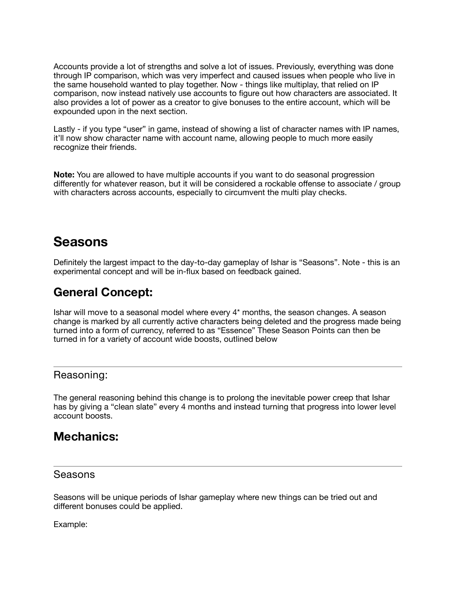Accounts provide a lot of strengths and solve a lot of issues. Previously, everything was done through IP comparison, which was very imperfect and caused issues when people who live in the same household wanted to play together. Now - things like multiplay, that relied on IP comparison, now instead natively use accounts to figure out how characters are associated. It also provides a lot of power as a creator to give bonuses to the entire account, which will be expounded upon in the next section.

Lastly - if you type "user" in game, instead of showing a list of character names with IP names, it'll now show character name with account name, allowing people to much more easily recognize their friends.

**Note:** You are allowed to have multiple accounts if you want to do seasonal progression differently for whatever reason, but it will be considered a rockable offense to associate / group with characters across accounts, especially to circumvent the multi play checks.

## **Seasons**

Definitely the largest impact to the day-to-day gameplay of Ishar is "Seasons". Note - this is an experimental concept and will be in-flux based on feedback gained.

### **General Concept:**

Ishar will move to a seasonal model where every 4\* months, the season changes. A season change is marked by all currently active characters being deleted and the progress made being turned into a form of currency, referred to as "Essence" These Season Points can then be turned in for a variety of account wide boosts, outlined below

#### Reasoning:

The general reasoning behind this change is to prolong the inevitable power creep that Ishar has by giving a "clean slate" every 4 months and instead turning that progress into lower level account boosts.

### **Mechanics:**

#### Seasons

Seasons will be unique periods of Ishar gameplay where new things can be tried out and different bonuses could be applied.

Example: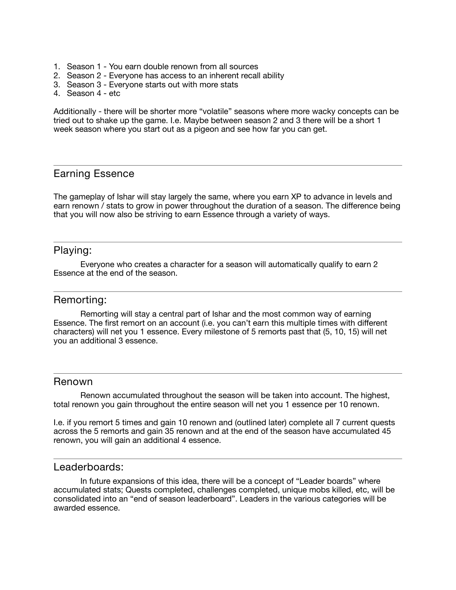- 1. Season 1 You earn double renown from all sources
- 2. Season 2 Everyone has access to an inherent recall ability
- 3. Season 3 Everyone starts out with more stats
- 4. Season 4 etc

Additionally - there will be shorter more "volatile" seasons where more wacky concepts can be tried out to shake up the game. I.e. Maybe between season 2 and 3 there will be a short 1 week season where you start out as a pigeon and see how far you can get.

#### Earning Essence

The gameplay of Ishar will stay largely the same, where you earn XP to advance in levels and earn renown / stats to grow in power throughout the duration of a season. The difference being that you will now also be striving to earn Essence through a variety of ways.

#### Playing:

Everyone who creates a character for a season will automatically qualify to earn 2 Essence at the end of the season.

#### Remorting:

Remorting will stay a central part of Ishar and the most common way of earning Essence. The first remort on an account (i.e. you can't earn this multiple times with different characters) will net you 1 essence. Every milestone of 5 remorts past that (5, 10, 15) will net you an additional 3 essence.

#### Renown

Renown accumulated throughout the season will be taken into account. The highest, total renown you gain throughout the entire season will net you 1 essence per 10 renown.

I.e. if you remort 5 times and gain 10 renown and (outlined later) complete all 7 current quests across the 5 remorts and gain 35 renown and at the end of the season have accumulated 45 renown, you will gain an additional 4 essence.

#### Leaderboards:

In future expansions of this idea, there will be a concept of "Leader boards" where accumulated stats; Quests completed, challenges completed, unique mobs killed, etc, will be consolidated into an "end of season leaderboard". Leaders in the various categories will be awarded essence.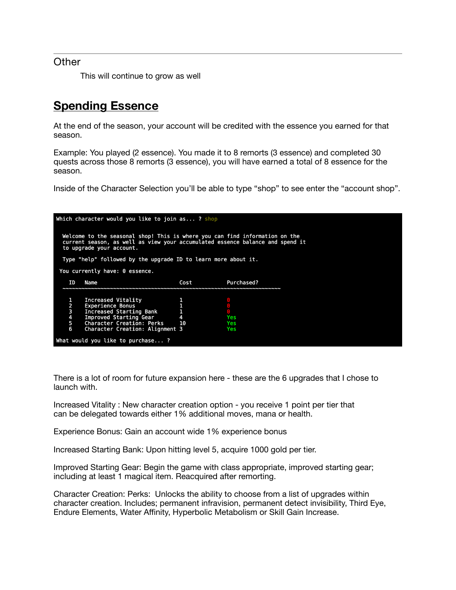#### **Other**

This will continue to grow as well

### **Spending Essence**

At the end of the season, your account will be credited with the essence you earned for that season.

Example: You played (2 essence). You made it to 8 remorts (3 essence) and completed 30 quests across those 8 remorts (3 essence), you will have earned a total of 8 essence for the season.

Inside of the Character Selection you'll be able to type "shop" to see enter the "account shop".

| Which character would you like to join as ? shop                                                                                                                                         |                                  |                                 |      |            |  |  |  |
|------------------------------------------------------------------------------------------------------------------------------------------------------------------------------------------|----------------------------------|---------------------------------|------|------------|--|--|--|
| Welcome to the seasonal shop! This is where you can find information on the<br>current season, as well as view your accumulated essence balance and spend it<br>to upgrade your account. |                                  |                                 |      |            |  |  |  |
| Type "help" followed by the upgrade ID to learn more about it.                                                                                                                           |                                  |                                 |      |            |  |  |  |
| You currently have: 0 essence.                                                                                                                                                           |                                  |                                 |      |            |  |  |  |
|                                                                                                                                                                                          | ΤD                               | Name                            | Cost | Purchased? |  |  |  |
|                                                                                                                                                                                          |                                  |                                 |      |            |  |  |  |
|                                                                                                                                                                                          |                                  | Increased Vitality              |      |            |  |  |  |
| Experience Bonus                                                                                                                                                                         |                                  |                                 |      |            |  |  |  |
| $\begin{array}{c}\n 2 \\ 3 \\ 4 \\ 5\n \end{array}$<br>Increased Starting Bank                                                                                                           |                                  | $\mathbf{1}$                    |      |            |  |  |  |
| Improved Starting Gear 4                                                                                                                                                                 |                                  |                                 | Yes  |            |  |  |  |
|                                                                                                                                                                                          |                                  | Character Creation: Perks 10    |      | Yes        |  |  |  |
|                                                                                                                                                                                          | 6                                | Character Creation: Alignment 3 |      | Yes        |  |  |  |
|                                                                                                                                                                                          | What would you like to purchase? |                                 |      |            |  |  |  |

There is a lot of room for future expansion here - these are the 6 upgrades that I chose to launch with.

Increased Vitality : New character creation option - you receive 1 point per tier that can be delegated towards either 1% additional moves, mana or health.

Experience Bonus: Gain an account wide 1% experience bonus

Increased Starting Bank: Upon hitting level 5, acquire 1000 gold per tier.

Improved Starting Gear: Begin the game with class appropriate, improved starting gear; including at least 1 magical item. Reacquired after remorting.

Character Creation: Perks: Unlocks the ability to choose from a list of upgrades within character creation. Includes; permanent infravision, permanent detect invisibility, Third Eye, Endure Elements, Water Affinity, Hyperbolic Metabolism or Skill Gain Increase.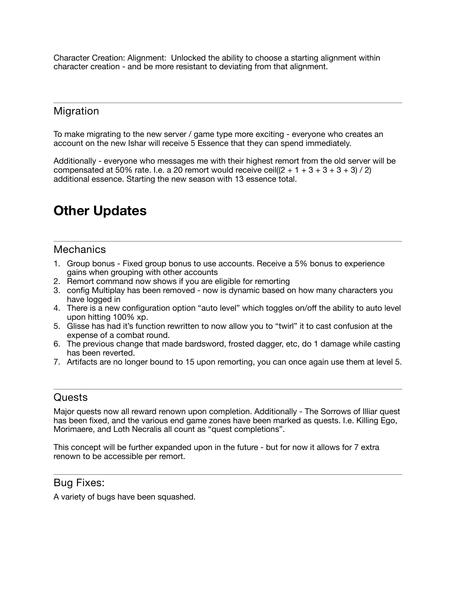Character Creation: Alignment: Unlocked the ability to choose a starting alignment within character creation - and be more resistant to deviating from that alignment.

### Migration

To make migrating to the new server / game type more exciting - everyone who creates an account on the new Ishar will receive 5 Essence that they can spend immediately.

Additionally - everyone who messages me with their highest remort from the old server will be compensated at 50% rate. I.e. a 20 remort would receive ceil( $(2 + 1 + 3 + 3 + 3 + 3)$  / 2) additional essence. Starting the new season with 13 essence total.

# **Other Updates**

#### **Mechanics**

- 1. Group bonus Fixed group bonus to use accounts. Receive a 5% bonus to experience gains when grouping with other accounts
- 2. Remort command now shows if you are eligible for remorting
- 3. config Multiplay has been removed now is dynamic based on how many characters you have logged in
- 4. There is a new configuration option "auto level" which toggles on/off the ability to auto level upon hitting 100% xp.
- 5. Glisse has had it's function rewritten to now allow you to "twirl" it to cast confusion at the expense of a combat round.
- 6. The previous change that made bardsword, frosted dagger, etc, do 1 damage while casting has been reverted.
- 7. Artifacts are no longer bound to 15 upon remorting, you can once again use them at level 5.

#### **Quests**

Major quests now all reward renown upon completion. Additionally - The Sorrows of Illiar quest has been fixed, and the various end game zones have been marked as quests. I.e. Killing Ego, Morimaere, and Loth Necralis all count as "quest completions".

This concept will be further expanded upon in the future - but for now it allows for 7 extra renown to be accessible per remort.

#### Bug Fixes:

A variety of bugs have been squashed.